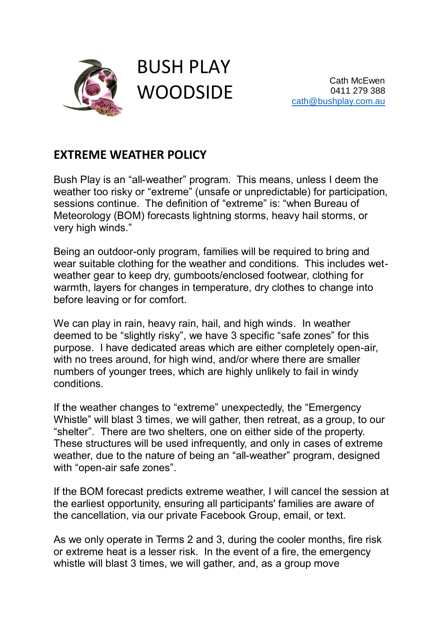

## BUSH PLAY **WOODSIDE**

Cath McEwen 0411 279 388 [cath@bushplay.com.au](mailto:cath@bushplay.com.au?subject=Website%20Enquiry)

## **EXTREME WEATHER POLICY**

Bush Play is an "all-weather" program. This means, unless I deem the weather too risky or "extreme" (unsafe or unpredictable) for participation, sessions continue. The definition of "extreme" is: "when Bureau of Meteorology (BOM) forecasts lightning storms, heavy hail storms, or very high winds."

Being an outdoor-only program, families will be required to bring and wear suitable clothing for the weather and conditions. This includes wetweather gear to keep dry, gumboots/enclosed footwear, clothing for warmth, layers for changes in temperature, dry clothes to change into before leaving or for comfort.

We can play in rain, heavy rain, hail, and high winds. In weather deemed to be "slightly risky", we have 3 specific "safe zones" for this purpose. I have dedicated areas which are either completely open-air, with no trees around, for high wind, and/or where there are smaller numbers of younger trees, which are highly unlikely to fail in windy conditions.

If the weather changes to "extreme" unexpectedly, the "Emergency Whistle" will blast 3 times, we will gather, then retreat, as a group, to our "shelter". There are two shelters, one on either side of the property. These structures will be used infrequently, and only in cases of extreme weather, due to the nature of being an "all-weather" program, designed with "open-air safe zones".

If the BOM forecast predicts extreme weather, I will cancel the session at the earliest opportunity, ensuring all participants' families are aware of the cancellation, via our private Facebook Group, email, or text.

As we only operate in Terms 2 and 3, during the cooler months, fire risk or extreme heat is a lesser risk. In the event of a fire, the emergency whistle will blast 3 times, we will gather, and, as a group move